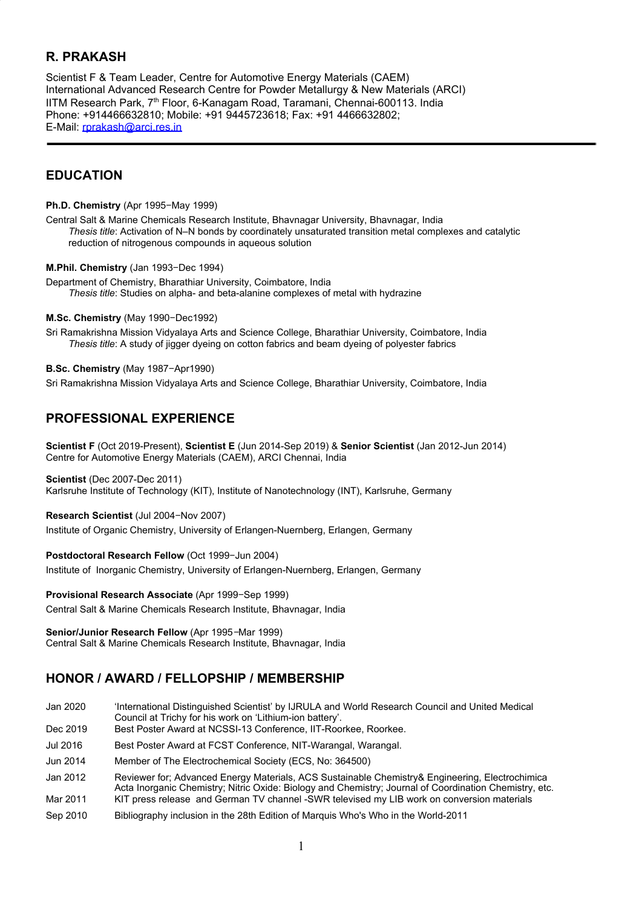## **R. PRAKASH**

Scientist F & Team Leader, Centre for Automotive Energy Materials (CAEM) International Advanced Research Centre for Powder Metallurgy & New Materials (ARCI) IITM Research Park, 7<sup>th</sup> Floor, 6-Kanagam Road, Taramani, Chennai-600113. India Phone: +914466632810; Mobile: +91 9445723618; Fax: +91 4466632802; E-Mail: [rprakash@arci.res.in](mailto:rprakash@arci.res.in)

## **EDUCATION**

**Ph.D. Chemistry** (Apr 1995−May 1999)

Central Salt & Marine Chemicals Research Institute, Bhavnagar University, Bhavnagar, India *Thesis title*: Activation of N–N bonds by coordinately unsaturated transition metal complexes and catalytic reduction of nitrogenous compounds in aqueous solution

**M.Phil. Chemistry** (Jan 1993−Dec 1994)

Department of Chemistry, Bharathiar University, Coimbatore, India *Thesis title*: Studies on alpha- and beta-alanine complexes of metal with hydrazine

#### **M.Sc. Chemistry** (May 1990−Dec1992)

Sri Ramakrishna Mission Vidyalaya Arts and Science College, Bharathiar University, Coimbatore, India *Thesis title*: A study of jigger dyeing on cotton fabrics and beam dyeing of polyester fabrics

#### **B.Sc. Chemistry** (May 1987−Apr1990)

Sri Ramakrishna Mission Vidyalaya Arts and Science College, Bharathiar University, Coimbatore, India

## **PROFESSIONAL EXPERIENCE**

**Scientist F** (Oct 2019-Present), **Scientist E** (Jun 2014-Sep 2019) & **Senior Scientist** (Jan 2012-Jun 2014) Centre for Automotive Energy Materials (CAEM), ARCI Chennai, India

#### **Scientist** (Dec 2007-Dec 2011)

Karlsruhe Institute of Technology (KIT), Institute of Nanotechnology (INT), Karlsruhe, Germany

**Research Scientist** (Jul 2004−Nov 2007)

Institute of Organic Chemistry, University of Erlangen-Nuernberg, Erlangen, Germany

#### **Postdoctoral Research Fellow** (Oct 1999−Jun 2004)

Institute of Inorganic Chemistry, University of Erlangen-Nuernberg, Erlangen, Germany

#### **Provisional Research Associate** (Apr 1999−Sep 1999)

Central Salt & Marine Chemicals Research Institute, Bhavnagar, India

**Senior/Junior Research Fellow** (Apr 1995−Mar 1999) Central Salt & Marine Chemicals Research Institute, Bhavnagar, India

# **HONOR / AWARD / FELLOPSHIP / MEMBERSHIP**

| Jan 2020 | 'International Distinguished Scientist' by IJRULA and World Research Council and United Medical<br>Council at Trichy for his work on 'Lithium-ion battery'.                                               |
|----------|-----------------------------------------------------------------------------------------------------------------------------------------------------------------------------------------------------------|
| Dec 2019 | Best Poster Award at NCSSI-13 Conference, IIT-Roorkee, Roorkee.                                                                                                                                           |
| Jul 2016 | Best Poster Award at FCST Conference, NIT-Warangal, Warangal.                                                                                                                                             |
| Jun 2014 | Member of The Electrochemical Society (ECS, No: 364500)                                                                                                                                                   |
| Jan 2012 | Reviewer for: Advanced Energy Materials, ACS Sustainable Chemistry& Engineering, Electrochimica<br>Acta Inorganic Chemistry; Nitric Oxide: Biology and Chemistry; Journal of Coordination Chemistry, etc. |
| Mar 2011 | KIT press release and German TV channel -SWR televised my LIB work on conversion materials                                                                                                                |
| Sep 2010 | Bibliography inclusion in the 28th Edition of Marquis Who's Who in the World-2011                                                                                                                         |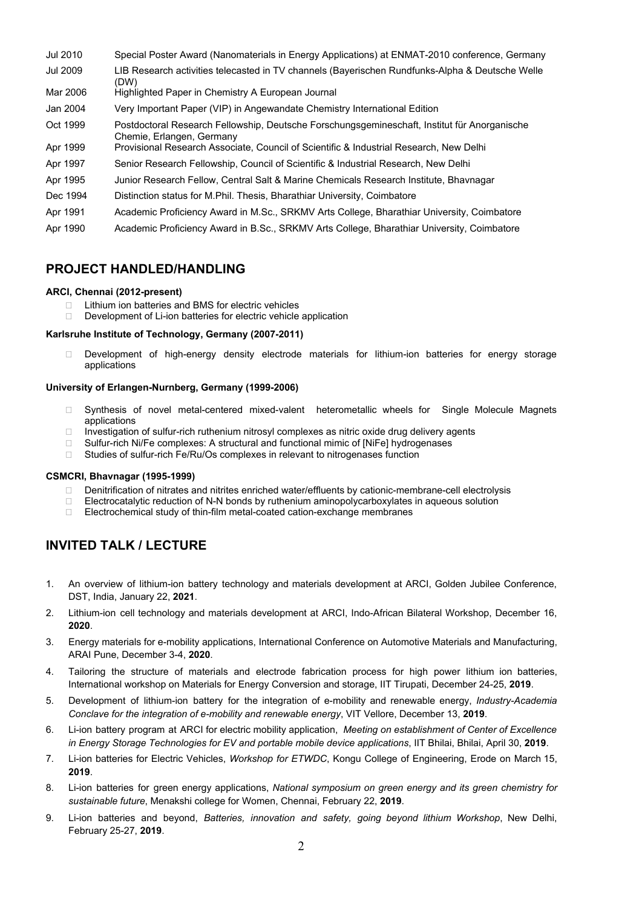- Jul 2010 Special Poster Award (Nanomaterials in Energy Applications) at ENMAT-2010 conference, Germany
- Jul 2009 LIB Research activities telecasted in TV channels (Bayerischen Rundfunks-Alpha & Deutsche Welle (DW)
- Mar 2006 Highlighted Paper in Chemistry A European Journal
- Jan 2004 Very Important Paper (VIP) in Angewandate Chemistry International Edition
- Oct 1999 Postdoctoral Research Fellowship, Deutsche Forschungsgemineschaft, Institut für Anorganische Chemie, Erlangen, Germany
- Apr 1999 Provisional Research Associate, Council of Scientific & Industrial Research, New Delhi
- Apr 1997 Senior Research Fellowship, Council of Scientific & Industrial Research, New Delhi
- Apr 1995 Junior Research Fellow, Central Salt & Marine Chemicals Research Institute, Bhavnagar
- Dec 1994 Distinction status for M.Phil. Thesis, Bharathiar University, Coimbatore
- Apr 1991 Academic Proficiency Award in M.Sc., SRKMV Arts College, Bharathiar University, Coimbatore
- Apr 1990 Academic Proficiency Award in B.Sc., SRKMV Arts College, Bharathiar University, Coimbatore

## **PROJECT HANDLED/HANDLING**

#### **ARCI, Chennai (2012-present)**

- $\Box$  Lithium ion batteries and BMS for electric vehicles
- Development of Li-ion batteries for electric vehicle application

#### **Karlsruhe Institute of Technology, Germany (2007-2011)**

 Development of high-energy density electrode materials for lithium-ion batteries for energy storage applications

#### **University of Erlangen-Nurnberg, Germany (1999-2006)**

- □ Synthesis of novel metal-centered mixed-valent heterometallic wheels for Single Molecule Magnets applications
- $\Box$  Investigation of sulfur-rich ruthenium nitrosyl complexes as nitric oxide drug delivery agents
- □ Sulfur-rich Ni/Fe complexes: A structural and functional mimic of [NiFe] hydrogenases
- Studies of sulfur-rich Fe/Ru/Os complexes in relevant to nitrogenases function

#### **CSMCRI, Bhavnagar (1995-1999)**

- □ Denitrification of nitrates and nitrites enriched water/effluents by cationic-membrane-cell electrolysis
- Electrocatalytic reduction of N-N bonds by ruthenium aminopolycarboxylates in aqueous solution
- □ Electrochemical study of thin-film metal-coated cation-exchange membranes

# **INVITED TALK / LECTURE**

- 1. An overview of lithium-ion battery technology and materials development at ARCI, Golden Jubilee Conference, DST, India, January 22, **2021**.
- 2. Lithium-ion cell technology and materials development at ARCI, Indo-African Bilateral Workshop, December 16, **2020**.
- 3. Energy materials for e-mobility applications, International Conference on Automotive Materials and Manufacturing, ARAI Pune, December 3-4, **2020**.
- 4. Tailoring the structure of materials and electrode fabrication process for high power lithium ion batteries, International workshop on Materials for Energy Conversion and storage, IIT Tirupati, December 24-25, **2019**.
- 5. Development of lithium-ion battery for the integration of e-mobility and renewable energy, *Industry-Academia Conclave for the integration of e-mobility and renewable energy*, VIT Vellore, December 13, **2019**.
- 6. Li-ion battery program at ARCI for electric mobility application, *Meeting on establishment of Center of Excellence in Energy Storage Technologies for EV and portable mobile device applications*, IIT Bhilai, Bhilai, April 30, **2019**.
- 7. Li-ion batteries for Electric Vehicles, *Workshop for ETWDC*, Kongu College of Engineering, Erode on March 15, **2019**.
- 8. Li-ion batteries for green energy applications, *National symposium on green energy and its green chemistry for sustainable future*, Menakshi college for Women, Chennai, February 22, **2019**.
- 9. Li-ion batteries and beyond, *Batteries, innovation and safety, going beyond lithium Workshop*, New Delhi, February 25-27, **2019**.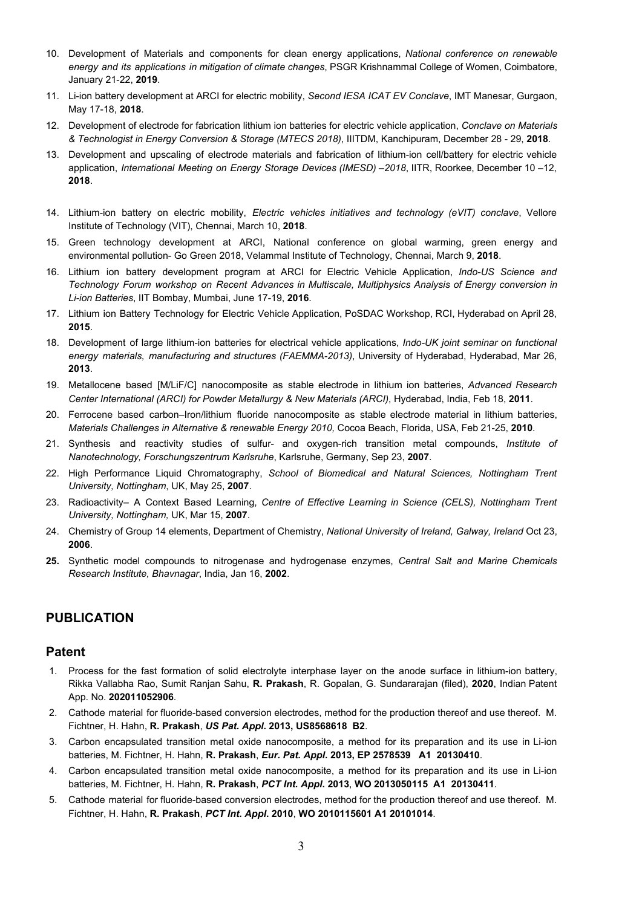- 10. Development of Materials and components for clean energy applications, *National conference on renewable energy and its applications in mitigation of climate changes*, PSGR Krishnammal College of Women, Coimbatore, January 21-22, **2019**.
- 11. Li-ion battery development at ARCI for electric mobility, *Second IESA ICAT EV Conclave*, IMT Manesar, Gurgaon, May 17-18, **2018**.
- 12. Development of electrode for fabrication lithium ion batteries for electric vehicle application, *Conclave on Materials & Technologist in Energy Conversion & Storage (MTECS 2018)*, IIITDM, Kanchipuram, December 28 - 29, **2018**.
- 13. Development and upscaling of electrode materials and fabrication of lithium-ion cell/battery for electric vehicle application, *International Meeting on Energy Storage Devices (IMESD) –2018*, IITR, Roorkee, December 10 –12, **2018**.
- 14. Lithium-ion battery on electric mobility, *Electric vehicles initiatives and technology (eVIT) conclave*, Vellore Institute of Technology (VIT), Chennai, March 10, **2018**.
- 15. Green technology development at ARCI, National conference on global warming, green energy and environmental pollution- Go Green 2018, Velammal Institute of Technology, Chennai, March 9, **2018**.
- 16. Lithium ion battery development program at ARCI for Electric Vehicle Application, *Indo-US Science and Technology Forum workshop on Recent Advances in Multiscale, Multiphysics Analysis of Energy conversion in Li-ion Batteries*, IIT Bombay, Mumbai, June 17-19, **2016**.
- 17. Lithium ion Battery Technology for Electric Vehicle Application, PoSDAC Workshop, RCI, Hyderabad on April 28, **2015**.
- 18. Development of large lithium-ion batteries for electrical vehicle applications, *Indo-UK joint seminar on functional energy materials, manufacturing and structures (FAEMMA-2013)*, University of Hyderabad, Hyderabad, Mar 26, **2013**.
- 19. Metallocene based [M/LiF/C] nanocomposite as stable electrode in lithium ion batteries, *Advanced Research Center International (ARCI) for Powder Metallurgy & New Materials (ARCI)*, Hyderabad, India, Feb 18, **2011**.
- 20. Ferrocene based carbon–Iron/lithium fluoride nanocomposite as stable electrode material in lithium batteries, *Materials Challenges in Alternative & renewable Energy 2010,* Cocoa Beach, Florida, USA, Feb 21-25, **2010**.
- 21. Synthesis and reactivity studies of sulfur- and oxygen-rich transition metal compounds, *Institute of Nanotechnology, Forschungszentrum Karlsruhe*, Karlsruhe, Germany, Sep 23, **2007**.
- 22. High Performance Liquid Chromatography, *School of Biomedical and Natural Sciences, Nottingham Trent University, Nottingham*, UK, May 25, **2007**.
- 23. Radioactivity– A Context Based Learning, *Centre of Effective Learning in Science (CELS), Nottingham Trent University, Nottingham,* UK, Mar 15, **2007**.
- 24. Chemistry of Group 14 elements, Department of Chemistry, *National University of Ireland, Galway, Ireland* Oct 23, **2006**.
- **25.** Synthetic model compounds to nitrogenase and hydrogenase enzymes, *Central Salt and Marine Chemicals Research Institute, Bhavnagar*, India, Jan 16, **2002**.

## **PUBLICATION**

### **Patent**

- 1. Process for the fast formation of solid electrolyte interphase layer on the anode surface in lithium-ion battery, Rikka Vallabha Rao, Sumit Ranjan Sahu, **R. Prakash**, R. Gopalan, G. Sundararajan (filed), **2020**, Indian Patent App. No. **202011052906**.
- 2. Cathode material for fluoride-based conversion electrodes, method for the production thereof and use thereof. M. Fichtner, H. Hahn, **R. Prakash**, *US Pat. Appl***. 2013, US8568618 B2**.
- 3. Carbon encapsulated transition metal oxide nanocomposite, a method for its preparation and its use in Li-ion batteries, M. Fichtner, H. Hahn, **R. Prakash**, *Eur. Pat. Appl***. 2013, EP 2578539 A1 20130410**.
- 4. Carbon encapsulated transition metal oxide nanocomposite, a method for its preparation and its use in Li-ion batteries, M. Fichtner, H. Hahn, **R. Prakash**, *PCT Int. Appl***. 2013**, **WO 2013050115 A1 20130411**.
- 5. Cathode material for fluoride-based conversion electrodes, method for the production thereof and use thereof. M. Fichtner, H. Hahn, **R. Prakash**, *PCT Int. Appl***. 2010**, **WO 2010115601 A1 20101014**.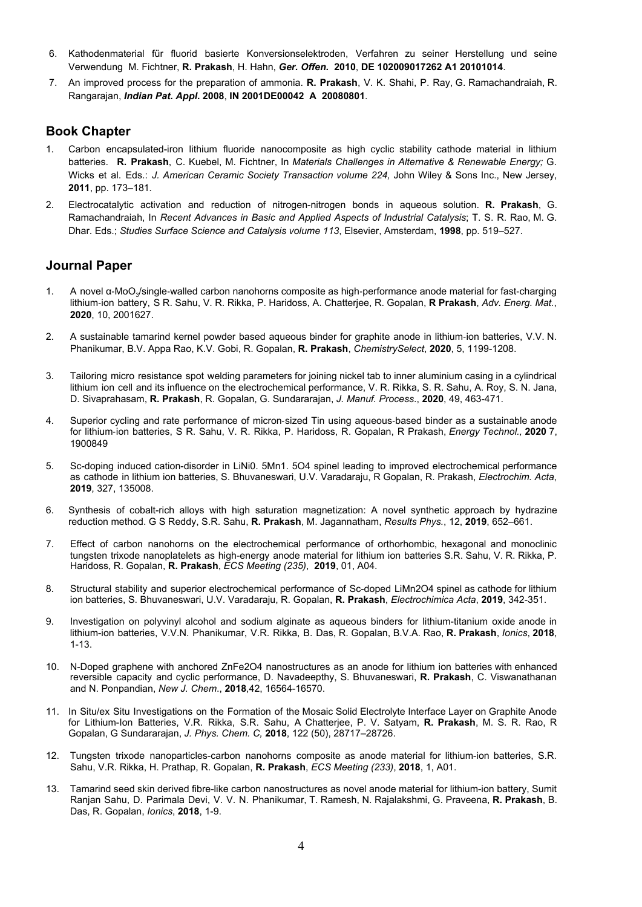- 6. Kathodenmaterial für fluorid basierte Konversionselektroden, Verfahren zu seiner Herstellung und seine Verwendung M. Fichtner, **R. Prakash**, H. Hahn, *Ger. Offen.* **2010**, **DE 102009017262 A1 20101014**.
- 7. An improved process for the preparation of ammonia. **R. Prakash**, V. K. Shahi, P. Ray, G. Ramachandraiah, R. Rangarajan, *Indian Pat. Appl***. 2008**, **IN 2001DE00042 A 20080801**.

### **Book Chapter**

- 1. Carbon encapsulated-iron lithium fluoride nanocomposite as high cyclic stability cathode material in lithium batteries. **R. Prakash**, C. Kuebel, M. Fichtner, In *Materials Challenges in Alternative & Renewable Energy;* G. Wicks et al. Eds.: *J. American Ceramic Society Transaction volume 224,* John Wiley & Sons Inc., New Jersey, **2011**, pp. 173–181*.*
- 2. Electrocatalytic activation and reduction of nitrogen-nitrogen bonds in aqueous solution. **R. Prakash**, G. Ramachandraiah, In *Recent Advances in Basic and Applied Aspects of Industrial Catalysis*; T. S. R. Rao, M. G. Dhar. Eds.; *Studies Surface Science and Catalysis volume 113*, Elsevier, Amsterdam, **1998**, pp. 519–527.

### **Journal Paper**

- 1. A novel α-MoO<sub>3</sub>/single-walled carbon nanohorns composite as high-performance anode material for fast-charging lithium-ion battery, S R. Sahu, V. R. Rikka, P. Haridoss, A. Chatterjee, R. Gopalan, **R Prakash**, *Adv. Energ. Mat.*, **2020**, 10, 2001627.
- 2. A sustainable tamarind kernel powder based aqueous binder for graphite anode in lithium-ion batteries, V.V. N. Phanikumar, B.V. Appa Rao, K.V. Gobi, R. Gopalan, **R. Prakash**, *ChemistrySelect*, **2020**, 5, 1199-1208.
- 3. Tailoring micro resistance spot welding parameters for joining nickel tab to inner aluminium casing in a cylindrical lithium ion cell and its influence on the electrochemical performance, V. R. [Rikka](https://www.sciencedirect.com/science/article/pii/S1526612519304347#!), S. R. [Sahu,](https://www.sciencedirect.com/science/article/pii/S1526612519304347#!) A. [Roy,](https://www.sciencedirect.com/science/article/pii/S1526612519304347#!) S. N. [Jana,](https://www.sciencedirect.com/science/article/pii/S1526612519304347#!) [D. Sivaprahasam](https://www.sciencedirect.com/science/article/pii/S1526612519304347#!), **[R. Prakash](https://www.sciencedirect.com/science/article/pii/S1526612519304347#!)**, R. Gopalan, [G. Sundararajan,](https://www.sciencedirect.com/science/article/pii/S1526612519304347#!) *J. Manuf. Process*., **2020**, 49, 463-471.
- 4. Superior cycling and rate performance of micron-sized Tin using aqueous-based binder as a sustainable anode for lithium-ion batteries, S R. Sahu, V. R. Rikka, P. Haridoss, R. Gopalan, R Prakash, *Energy Technol.,* **2020** 7, 1900849
- 5. Sc-doping induced cation-disorder in LiNi0. 5Mn1. 5O4 spinel leading to improved electrochemical performance as cathode in lithium ion batteries, S. Bhuvaneswari, U.V. Varadaraju, R Gopalan, R. Prakash, *Electrochim. Acta*, **2019**, 327, 135008.
- 6. Synthesis of cobalt-rich alloys with high saturation magnetization: A novel synthetic approach by hydrazine reduction method. G S Reddy, S.R. Sahu, **R. Prakash**, M. Jagannatham, *Results Phys.*, 12, **2019**, 652–661.
- 7. Effect of carbon nanohorns on the electrochemical performance of orthorhombic, hexagonal and monoclinic tungsten trixode nanoplatelets as high-energy anode material for lithium ion batteries S.R. Sahu, V. R. Rikka, P. Haridoss, R. Gopalan, **R. Prakash**, *ECS Meeting (235)*, **2019**, 01, A04.
- 8. Structural stability and superior electrochemical performance of Sc-doped LiMn2O4 spinel as cathode for lithium ion batteries, S. Bhuvaneswari, U.V. Varadaraju, R. Gopalan, **R. Prakash**, *Electrochimica Acta*, **2019**, 342-351.
- 9. Investigation on polyvinyl alcohol and sodium alginate as aqueous binders for lithium-titanium oxide anode in lithium-ion batteries, V.V.N. Phanikumar, V.R. Rikka, B. Das, R. Gopalan, B.V.A. Rao, **R. Prakash**, *Ionics*, **2018**, 1-13.
- 10. N-Doped graphene with anchored ZnFe2O4 nanostructures as an anode for lithium ion batteries with enhanced reversible capacity and cyclic performance, D. Navadeepthy, S. Bhuvaneswari, **R. Prakash**, C. Viswanathanan and N. Ponpandian, *New J. Chem*., **2018**,42, 16564-16570.
- 11. In Situ/ex Situ Investigations on the Formation of the Mosaic Solid Electrolyte Interface Layer on Graphite Anode for Lithium-Ion Batteries, V.R. Rikka, S.R. Sahu, A Chatterjee, P. V. Satyam, **R. Prakash**, M. S. R. Rao, R Gopalan, G Sundararajan, *J. Phys. Chem. C,* **2018**, 122 (50), 28717–28726.
- 12. Tungsten trixode nanoparticles-carbon nanohorns composite as anode material for lithium-ion batteries, S.R. Sahu, V.R. Rikka, H. Prathap, R. Gopalan, **R. Prakash**, *ECS Meeting (233)*, **2018**, 1, A01.
- 13. Tamarind seed skin derived fibre-like carbon nanostructures as novel anode material for lithium-ion battery, Sumit Ranjan Sahu, D. Parimala Devi, V. V. N. Phanikumar, T. Ramesh, N. Rajalakshmi, G. Praveena, **R. Prakash**, B. Das, R. Gopalan, *Ionics*, **2018**, 1-9.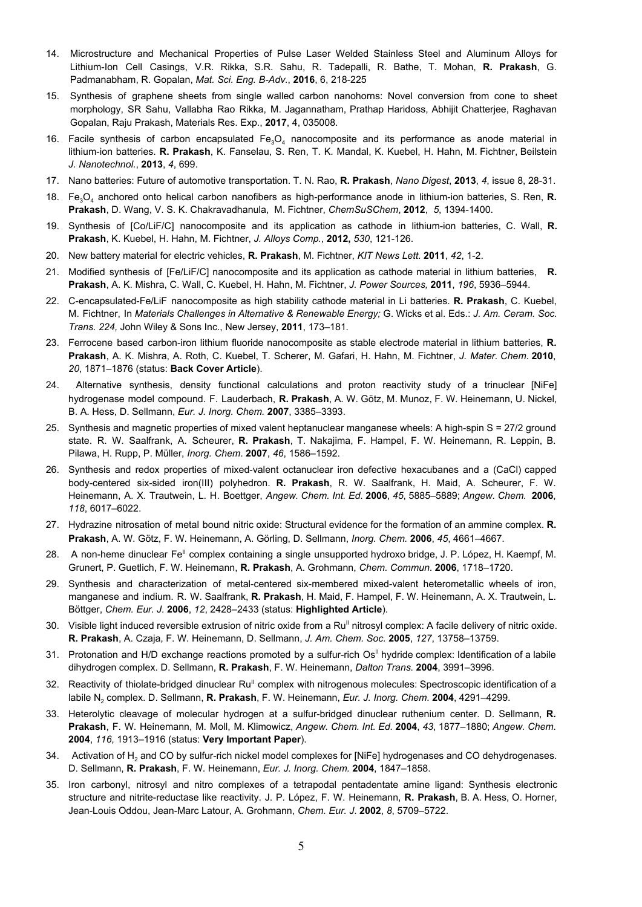- 14. Microstructure and Mechanical Properties of Pulse Laser Welded Stainless Steel and Aluminum Alloys for Lithium-Ion Cell Casings, V.R. Rikka, S.R. Sahu, R. Tadepalli, R. Bathe, T. Mohan, **R. Prakash**, G. Padmanabham, R. Gopalan, *Mat. Sci. Eng. B-Adv.*, **2016**, 6, 218-225
- 15. Synthesis of graphene sheets from single walled carbon nanohorns: Novel conversion from cone to sheet morphology, SR Sahu, Vallabha Rao Rikka, M. Jagannatham, Prathap Haridoss, Abhijit Chatterjee, Raghavan Gopalan, Raju Prakash, Materials Res. Exp., **2017**, 4, 035008.
- 16. Facile synthesis of carbon encapsulated  $Fe<sub>3</sub>O<sub>4</sub>$  nanocomposite and its performance as anode material in lithium-ion batteries. **R. Prakash**, K. Fanselau, S. Ren, T. K. Mandal, K. Kuebel, H. Hahn, M. Fichtner, Beilstein *J. Nanotechnol.*, **2013**, *4*, 699.
- 17. Nano batteries: Future of automotive transportation. T. N. Rao, **R. Prakash**, *Nano Digest*, **2013**, *4*, issue 8, 28-31.
- 18. Fe3O<sup>4</sup> anchored onto helical carbon nanofibers as high-performance anode in lithium-ion batteries, S. Ren, **R. Prakash**, D. Wang, V. S. K. Chakravadhanula, M. Fichtner, *ChemSuSChem*, **2012**, *5*, 1394-1400.
- 19. Synthesis of [Co/LiF/C] nanocomposite and its application as cathode in lithium-ion batteries, C. Wall, **R. Prakash**, K. Kuebel, H. Hahn, M. Fichtner, *J. Alloys Comp.*, **2012,** *530*, 121-126.
- 20. New battery material for electric vehicles, **R. Prakash**, M. Fichtner, *KIT News Lett*. **2011**, *42*, 1-2.
- 21. Modified synthesis of [Fe/LiF/C] nanocomposite and its application as cathode material in lithium batteries, **R. Prakash**, A. K. Mishra, C. Wall, C. Kuebel, H. Hahn, M. Fichtner, *J. Power Sources,* **2011**, *196*, 5936–5944.
- 22. C-encapsulated-Fe/LiF nanocomposite as high stability cathode material in Li batteries. **R. Prakash**, C. Kuebel, M. Fichtner, In *Materials Challenges in Alternative & Renewable Energy;* G. Wicks et al. Eds.: *J. Am. Ceram. Soc. Trans. 224,* John Wiley & Sons Inc., New Jersey, **2011**, 173–181*.*
- 23. Ferrocene based carbon-iron lithium fluoride nanocomposite as stable electrode material in lithium batteries, **R. Prakash**, A. K. Mishra, A. Roth, C. Kuebel, T. Scherer, M. Gafari, H. Hahn, M. Fichtner, *J. Mater. Chem*. **2010**, *20*, 1871–1876 (status: **Back Cover Article**).
- 24. Alternative synthesis, density functional calculations and proton reactivity study of a trinuclear [NiFe] hydrogenase model compound. F. Lauderbach, **R. Prakash**, A. W. Götz, M. Munoz, F. W. Heinemann, U. Nickel, B. A. Hess, D. Sellmann, *Eur. J. Inorg. Chem.* **2007**, 3385–3393.
- 25. Synthesis and magnetic properties of mixed valent heptanuclear manganese wheels: A high-spin S = 27/2 ground state. R. W. Saalfrank, A. Scheurer, **R. Prakash**, T. Nakajima, F. Hampel, F. W. Heinemann, R. Leppin, B. Pilawa, H. Rupp, P. Müller, *Inorg. Chem*. **2007**, *46*, 1586–1592.
- 26. Synthesis and redox properties of mixed-valent octanuclear iron defective hexacubanes and a (CaCl) capped body-centered six-sided iron(III) polyhedron. **R. Prakash**, R. W. Saalfrank, H. Maid, A. Scheurer, F. W. Heinemann, A. X. Trautwein, L. H. Boettger, *Angew. Chem. Int. Ed*. **2006**, *45*, 5885–5889; *Angew. Chem.* **2006**, *118*, 6017–6022.
- 27. Hydrazine nitrosation of metal bound nitric oxide: Structural evidence for the formation of an ammine complex. **R. Prakash**, A. W. Götz, F. W. Heinemann, A. Görling, D. Sellmann, *Inorg. Chem.* **2006**, *45*, 4661–4667.
- 28. A non-heme dinuclear Fe<sup>II</sup> complex containing a single unsupported hydroxo bridge, J. P. López, H. Kaempf, M. Grunert, P. Guetlich, F. W. Heinemann, **R. Prakash**, A. Grohmann, *Chem. Commun*. **2006**, 1718–1720.
- 29. Synthesis and characterization of metal-centered six-membered mixed-valent heterometallic wheels of iron, manganese and indium. R. W. Saalfrank, **R. Prakash**, H. Maid, F. Hampel, F. W. Heinemann, A. X. Trautwein, L. Böttger, *Chem. Eur. J.* **2006**, *12*, 2428–2433 (status: **Highlighted Article**).
- 30. Visible light induced reversible extrusion of nitric oxide from a Ru<sup>II</sup> nitrosyl complex: A facile delivery of nitric oxide. **R. Prakash**, A. Czaja, F. W. Heinemann, D. Sellmann, *J. Am. Chem. Soc.* **2005**, *127*, 13758–13759.
- 31. Protonation and H/D exchange reactions promoted by a sulfur-rich Os<sup>II</sup> hydride complex: Identification of a labile dihydrogen complex. D. Sellmann, **R. Prakash**, F. W. Heinemann, *Dalton Trans.* **2004**, 3991–3996.
- 32. Reactivity of thiolate-bridged dinuclear Ru<sup>II</sup> complex with nitrogenous molecules: Spectroscopic identification of a labile N<sup>2</sup> complex. D. Sellmann, **R. Prakash**, F. W. Heinemann, *Eur. J. Inorg. Chem.* **2004**, 4291–4299.
- 33. Heterolytic cleavage of molecular hydrogen at a sulfur-bridged dinuclear ruthenium center. D. Sellmann, **R. Prakash**, F. W. Heinemann, M. Moll, M. Klimowicz, *Angew. Chem. Int. Ed.* **2004**, *43*, 1877–1880; *Angew. Chem.* **2004**, *116*, 1913–1916 (status: **Very Important Paper**).
- 34. Activation of H<sub>2</sub> and CO by sulfur-rich nickel model complexes for [NiFe] hydrogenases and CO dehydrogenases. D. Sellmann, **R. Prakash**, F. W. Heinemann, *Eur. J. Inorg. Chem.* **2004**, 1847–1858.
- 35. Iron carbonyl, nitrosyl and nitro complexes of a tetrapodal pentadentate amine ligand: Synthesis electronic structure and nitrite-reductase like reactivity. J. P. López, F. W. Heinemann, **R. Prakash**, B. A. Hess, O. Horner, Jean-Louis Oddou, Jean-Marc Latour, A. Grohmann, *Chem. Eur. J*. **2002**, *8*, 5709–5722.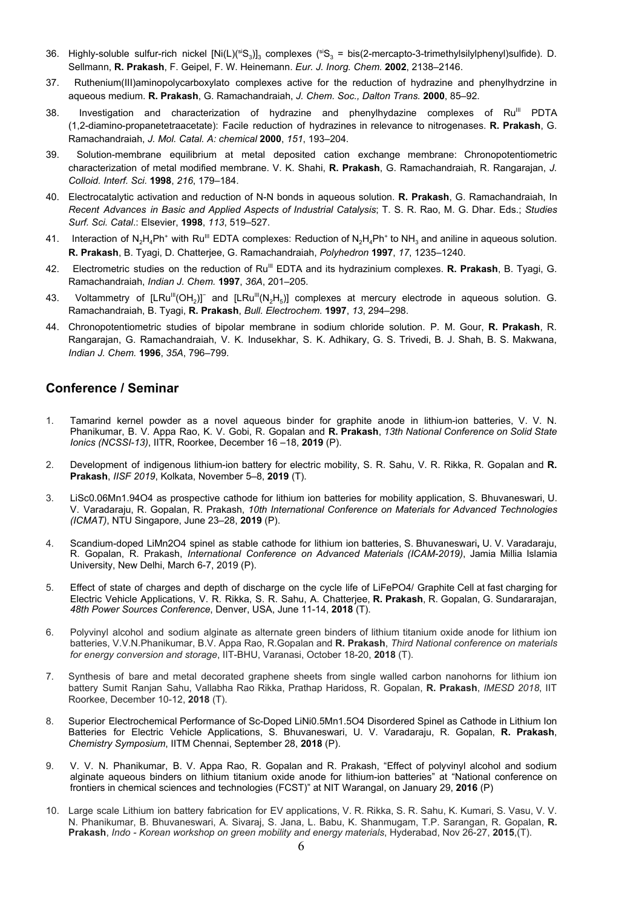- 36. Highly-soluble sulfur-rich nickel [Ni(L)(<sup>si</sup>S<sub>3</sub>)]<sub>3</sub> complexes (<sup>si</sup>S<sub>3</sub> = bis(2-mercapto-3-trimethylsilylphenyl)sulfide). D. Sellmann, **R. Prakash**, F. Geipel, F. W. Heinemann. *Eur. J. Inorg. Chem.* **2002**, 2138–2146.
- 37. Ruthenium(III)aminopolycarboxylato complexes active for the reduction of hydrazine and phenylhydrzine in aqueous medium. **R. Prakash**, G. Ramachandraiah, *J. Chem. Soc., Dalton Trans.* **2000**, 85–92.
- 38. Investigation and characterization of hydrazine and phenylhydazine complexes of Ru<sup>III</sup> PDTA (1,2-diamino-propanetetraacetate): Facile reduction of hydrazines in relevance to nitrogenases. **R. Prakash**, G. Ramachandraiah, *J. Mol. Catal. A: chemical* **2000**, *151*, 193–204.
- 39. Solution-membrane equilibrium at metal deposited cation exchange membrane: Chronopotentiometric characterization of metal modified membrane. V. K. Shahi, **R. Prakash**, G. Ramachandraiah, R. Rangarajan, *J. Colloid. Interf. Sci.* **1998**, *216*, 179–184.
- 40. Electrocatalytic activation and reduction of N-N bonds in aqueous solution. **R. Prakash**, G. Ramachandraiah, In *Recent Advances in Basic and Applied Aspects of Industrial Catalysis*; T. S. R. Rao, M. G. Dhar. Eds.; *Studies Surf. Sci. Catal*.: Elsevier, **1998**, *113*, 519–527.
- 41. Interaction of N<sub>2</sub>H<sub>4</sub>Ph<sup>+</sup> with Ru<sup>lli</sup> EDTA complexes: Reduction of N<sub>2</sub>H<sub>4</sub>Ph<sup>+</sup> to NH<sub>3</sub> and aniline in aqueous solution. **R. Prakash**, B. Tyagi, D. Chatterjee, G. Ramachandraiah, *Polyhedron* **1997**, *17*, 1235–1240.
- 42. Electrometric studies on the reduction of Ru<sup>III</sup> EDTA and its hydrazinium complexes. **R. Prakash**, B. Tyagi, G. Ramachandraiah, *Indian J. Chem.* **1997**, *36A*, 201–205.
- 43. Voltammetry of  $[LRu^{\text{III}}(OH_2)]$ <sup>-</sup> and  $[LRu^{\text{III}}(N_2H_5)]$  complexes at mercury electrode in aqueous solution. G. Ramachandraiah, B. Tyagi, **R. Prakash**, *Bull. Electrochem.* **1997**, *13*, 294–298.
- 44. Chronopotentiometric studies of bipolar membrane in sodium chloride solution. P. M. Gour, **R. Prakash**, R. Rangarajan, G. Ramachandraiah, V. K. Indusekhar, S. K. Adhikary, G. S. Trivedi, B. J. Shah, B. S. Makwana, *Indian J. Chem.* **1996**, *35A*, 796–799.

## **Conference / Seminar**

- 1. Tamarind kernel powder as a novel aqueous binder for graphite anode in lithium-ion batteries, V. V. N. Phanikumar, B. V. Appa Rao, K. V. Gobi, R. Gopalan and **R. Prakash**, *13th National Conference on Solid State Ionics (NCSSI-13)*, IITR, Roorkee, December 16 –18, **2019** (P).
- 2. Development of indigenous lithium-ion battery for electric mobility, S. R. Sahu, V. R. Rikka, R. Gopalan and **R. Prakash**, *IISF 2019*, Kolkata, November 5–8, **2019** (T).
- 3. LiSc0.06Mn1.94O4 as prospective cathode for lithium ion batteries for mobility application, S. Bhuvaneswari, U. V. Varadaraju, R. Gopalan, R. Prakash, *10th International Conference on Materials for Advanced Technologies (ICMAT)*, NTU Singapore, June 23–28, **2019** (P).
- 4. Scandium-doped LiMn2O4 spinel as stable cathode for lithium ion batteries, S. Bhuvaneswari**,** U. V. Varadaraju, R. Gopalan, R. Prakash, *International Conference on Advanced Materials (ICAM-2019)*, Jamia Millia Islamia University, New Delhi, March 6-7, 2019 (P).
- 5. Effect of state of charges and depth of discharge on the cycle life of LiFePO4/ Graphite Cell at fast charging for Electric Vehicle Applications, V. R. Rikka, S. R. Sahu, A. Chatterjee, **R. Prakash**, R. Gopalan, G. Sundararajan, *48th Power Sources Conference*, Denver, USA, June 11-14, **2018** (T).
- 6. Polyvinyl alcohol and sodium alginate as alternate green binders of lithium titanium oxide anode for lithium ion batteries, V.V.N.Phanikumar, B.V. Appa Rao, R.Gopalan and **R. Prakash**, *Third National conference on materials for energy conversion and storage*, IIT-BHU, Varanasi, October 18-20, **2018** (T).
- 7. Synthesis of bare and metal decorated graphene sheets from single walled carbon nanohorns for lithium ion battery Sumit Ranjan Sahu, Vallabha Rao Rikka, Prathap Haridoss, R. Gopalan, **R. Prakash**, *IMESD 2018*, IIT Roorkee, December 10-12, **2018** (T).
- 8. Superior Electrochemical Performance of Sc-Doped LiNi0.5Mn1.5O4 Disordered Spinel as Cathode in Lithium Ion Batteries for Electric Vehicle Applications, S. Bhuvaneswari, U. V. Varadaraju, R. Gopalan, **R. Prakash**, *Chemistry Symposium*, IITM Chennai, September 28, **2018** (P).
- 9. V. V. N. Phanikumar, B. V. Appa Rao, R. Gopalan and R. Prakash, "Effect of polyvinyl alcohol and sodium alginate aqueous binders on lithium titanium oxide anode for lithium-ion batteries" at "National conference on frontiers in chemical sciences and technologies (FCST)" at NIT Warangal, on January 29, **2016** (P)
- 10. Large scale Lithium ion battery fabrication for EV applications, V. R. Rikka, S. R. Sahu, K. Kumari, S. Vasu, V. V. N. Phanikumar, B. Bhuvaneswari, A. Sivaraj, S. Jana, L. Babu, K. Shanmugam, T.P. Sarangan, R. Gopalan, **R. Prakash**, *Indo - Korean workshop on green mobility and energy materials*, Hyderabad, Nov 26-27, **2015**,(T).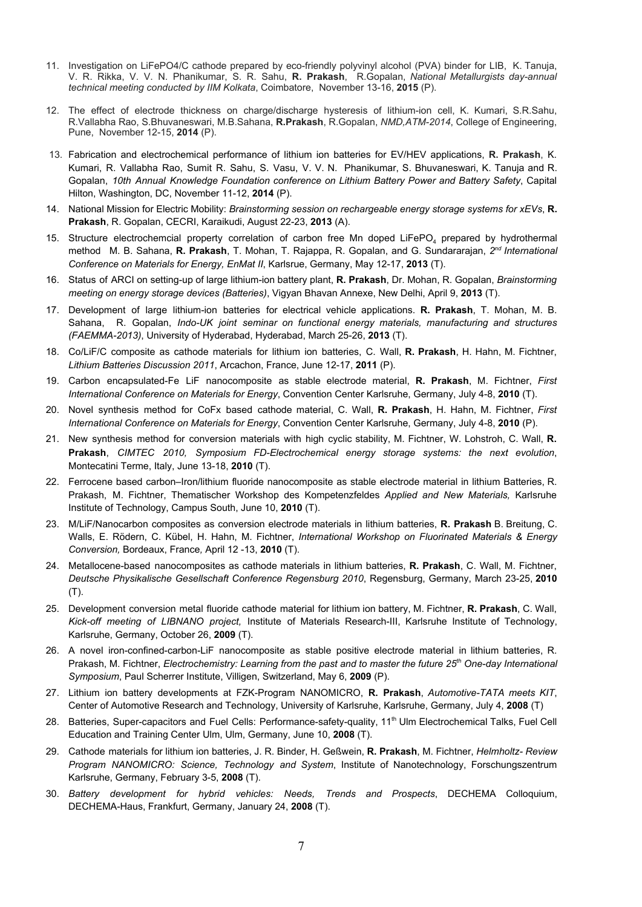- 11. Investigation on LiFePO4/C cathode prepared by eco-friendly polyvinyl alcohol (PVA) binder for LIB, K. Tanuja, V. R. Rikka, V. V. N. Phanikumar, S. R. Sahu, **R. Prakash**, R.Gopalan, *National Metallurgists day-annual technical meeting conducted by IIM Kolkata*, Coimbatore, November 13-16, **2015** (P).
- 12. The effect of electrode thickness on charge/discharge hysteresis of lithium-ion cell, K. Kumari, S.R.Sahu, R.Vallabha Rao, S.Bhuvaneswari, M.B.Sahana, **R.Prakash**, R.Gopalan, *NMD,ATM-2014*, College of Engineering, Pune, November 12-15, **2014** (P).
- 13. Fabrication and electrochemical performance of lithium ion batteries for EV/HEV applications, **R. Prakash**, K. Kumari, R. Vallabha Rao, Sumit R. Sahu, S. Vasu, V. V. N. Phanikumar, S. Bhuvaneswari, K. Tanuja and R. Gopalan, *10th Annual Knowledge Foundation conference on Lithium Battery Power and Battery Safety*, Capital Hilton, Washington, DC, November 11-12, **2014** (P).
- 14. National Mission for Electric Mobility: *Brainstorming session on rechargeable energy storage systems for xEVs*, **R. Prakash**, R. Gopalan, CECRI, Karaikudi, August 22-23, **2013** (A).
- 15. Structure electrochemcial property correlation of carbon free Mn doped LiFePO<sub>4</sub> prepared by hydrothermal method M. B. Sahana, **R. Prakash**, T. Mohan, T. Rajappa, R. Gopalan, and G. Sundararajan, *2 nd International Conference on Materials for Energy, EnMat II*, Karlsrue, Germany, May 12-17, **2013** (T).
- 16. Status of ARCI on setting-up of large lithium-ion battery plant, **R. Prakash**, Dr. Mohan, R. Gopalan, *Brainstorming meeting on energy storage devices (Batteries)*, Vigyan Bhavan Annexe, New Delhi, April 9, **2013** (T).
- 17. Development of large lithium-ion batteries for electrical vehicle applications. **R. Prakash**, T. Mohan, M. B. Sahana, R. Gopalan, *Indo-UK joint seminar on functional energy materials, manufacturing and structures (FAEMMA-2013)*, University of Hyderabad, Hyderabad, March 25-26, **2013** (T).
- 18. Co/LiF/C composite as cathode materials for lithium ion batteries, C. Wall, **R. Prakash**, H. Hahn, M. Fichtner, *Lithium Batteries Discussion 2011*, Arcachon, France, June 12-17, **2011** (P).
- 19. Carbon encapsulated-Fe LiF nanocomposite as stable electrode material, **R. Prakash**, M. Fichtner, *First International Conference on Materials for Energy*, Convention Center Karlsruhe, Germany, July 4-8, **2010** (T).
- 20. Novel synthesis method for CoFx based cathode material, C. Wall, **R. Prakash**, H. Hahn, M. Fichtner, *First International Conference on Materials for Energy*, Convention Center Karlsruhe, Germany, July 4-8, **2010** (P).
- 21. New synthesis method for conversion materials with high cyclic stability, M. Fichtner, W. Lohstroh, C. Wall, **R. Prakash**, *CIMTEC 2010, Symposium FD-Electrochemical energy storage systems: the next evolution*, Montecatini Terme, Italy, June 13-18, **2010** (T).
- 22. Ferrocene based carbon–Iron/lithium fluoride nanocomposite as stable electrode material in lithium Batteries, R. Prakash, M. Fichtner, Thematischer Workshop des Kompetenzfeldes *Applied and New Materials,* Karlsruhe Institute of Technology, Campus South, June 10, **2010** (T).
- 23. M/LiF/Nanocarbon composites as conversion electrode materials in lithium batteries, **R. Prakash** B. Breitung, C. Walls, E. Rödern, C. Kübel, H. Hahn, M. Fichtner, *International Workshop on Fluorinated Materials & Energy Conversion,* Bordeaux, France*,* April 12 -13, **2010** (T).
- 24. Metallocene-based nanocomposites as cathode materials in lithium batteries, **R. Prakash**, C. Wall, M. Fichtner, *Deutsche Physikalische Gesellschaft Conference Regensburg 2010*, Regensburg, Germany, March 23-25, **2010** (T).
- 25. Development conversion metal fluoride cathode material for lithium ion battery, M. Fichtner, **R. Prakash**, C. Wall, *Kick-off meeting of LIBNANO project,* Institute of Materials Research-III, Karlsruhe Institute of Technology, Karlsruhe, Germany, October 26, **2009** (T).
- 26. A novel iron-confined-carbon-LiF nanocomposite as stable positive electrode material in lithium batteries, R. Prakash, M. Fichtner, *Electrochemistry: Learning from the past and to master the future 25th One-day International Symposium*, Paul Scherrer Institute, Villigen, Switzerland, May 6, **2009** (P).
- 27. Lithium ion battery developments at FZK-Program NANOMICRO, **R. Prakash**, *Automotive-TATA meets KIT*, Center of Automotive Research and Technology, University of Karlsruhe, Karlsruhe, Germany, July 4, **2008** (T)
- 28. Batteries, Super-capacitors and Fuel Cells: Performance-safety-quality, 11<sup>th</sup> Ulm Electrochemical Talks, Fuel Cell Education and Training Center Ulm, Ulm, Germany, June 10, **2008** (T).
- 29. Cathode materials for lithium ion batteries, J. R. Binder, H. Geßwein, **R. Prakash**, M. Fichtner, *Helmholtz- Review Program NANOMICRO: Science, Technology and System*, Institute of Nanotechnology, Forschungszentrum Karlsruhe, Germany, February 3-5, **2008** (T).
- 30. *Battery development for hybrid vehicles: Needs, Trends and Prospects*, DECHEMA Colloquium, DECHEMA-Haus, Frankfurt, Germany, January 24, **2008** (T).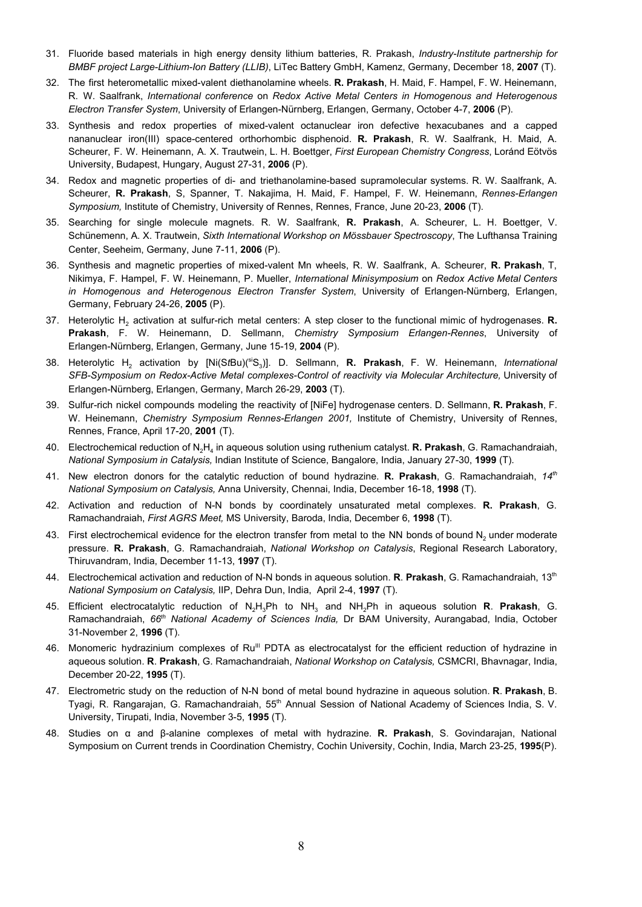- 31. Fluoride based materials in high energy density lithium batteries, R. Prakash, *Industry-Institute partnership for BMBF project Large-Lithium-Ion Battery (LLIB)*, LiTec Battery GmbH, Kamenz, Germany, December 18, **2007** (T).
- 32. The first heterometallic mixed-valent diethanolamine wheels. **R. Prakash**, H. Maid, F. Hampel, F. W. Heinemann, R. W. Saalfrank, *International conference* on *Redox Active Metal Centers in Homogenous and Heterogenous Electron Transfer System*, University of Erlangen-Nürnberg, Erlangen, Germany, October 4-7, **2006** (P).
- 33. Synthesis and redox properties of mixed-valent octanuclear iron defective hexacubanes and a capped nananuclear iron(III) space-centered orthorhombic disphenoid. **R. Prakash**, R. W. Saalfrank, H. Maid, A. Scheurer, F. W. Heinemann, A. X. Trautwein, L. H. Boettger, *First European Chemistry Congress*, Loránd Eötvös University, Budapest, Hungary, August 27-31, **2006** (P).
- 34. Redox and magnetic properties of di- and triethanolamine-based supramolecular systems. R. W. Saalfrank, A. Scheurer, **R. Prakash**, S, Spanner, T. Nakajima, H. Maid, F. Hampel, F. W. Heinemann, *Rennes-Erlangen Symposium,* Institute of Chemistry, University of Rennes, Rennes, France, June 20-23, **2006** (T).
- 35. Searching for single molecule magnets. R. W. Saalfrank, **R. Prakash**, A. Scheurer, L. H. Boettger, V. Schünemenn, A. X. Trautwein, *Sixth International Workshop on Mössbauer Spectroscopy*, The Lufthansa Training Center, Seeheim, Germany, June 7-11, **2006** (P).
- 36. Synthesis and magnetic properties of mixed-valent Mn wheels, R. W. Saalfrank, A. Scheurer, **R. Prakash**, T, Nikimya, F. Hampel, F. W. Heinemann, P. Mueller, *International Minisymposium* on *Redox Active Metal Centers in Homogenous and Heterogenous Electron Transfer System*, University of Erlangen-Nürnberg, Erlangen, Germany, February 24-26, **2005** (P).
- 37. Heterolytic H<sup>2</sup> activation at sulfur-rich metal centers: A step closer to the functional mimic of hydrogenases. **R. Prakash**, F. W. Heinemann, D. Sellmann, *Chemistry Symposium Erlangen-Rennes*, University of Erlangen-Nürnberg, Erlangen, Germany, June 15-19, **2004** (P).
- 38. Heterolytic H<sup>2</sup> activation by [Ni(S*t*Bu)(siS<sup>3</sup> )]. D. Sellmann, **R. Prakash**, F. W. Heinemann, *International SFB-Symposium on Redox-Active Metal complexes-Control of reactivity via Molecular Architecture,* University of Erlangen-Nürnberg, Erlangen, Germany, March 26-29, **2003** (T).
- 39. Sulfur-rich nickel compounds modeling the reactivity of [NiFe] hydrogenase centers. D. Sellmann, **R. Prakash**, F. W. Heinemann, *Chemistry Symposium Rennes-Erlangen 2001,* Institute of Chemistry, University of Rennes, Rennes, France, April 17-20, **2001** (T).
- 40. Electrochemical reduction of N2H<sup>4</sup> in aqueous solution using ruthenium catalyst. **R. Prakash**, G. Ramachandraiah, *National Symposium in Catalysis,* Indian Institute of Science, Bangalore, India, January 27-30, **1999** (T).
- 41. New electron donors for the catalytic reduction of bound hydrazine. **R. Prakash**, G. Ramachandraiah, *14th National Symposium on Catalysis,* Anna University, Chennai, India, December 16-18, **1998** (T).
- 42. Activation and reduction of N-N bonds by coordinately unsaturated metal complexes. **R. Prakash**, G. Ramachandraiah, *First AGRS Meet,* MS University, Baroda, India, December 6, **1998** (T).
- 43. First electrochemical evidence for the electron transfer from metal to the NN bonds of bound N<sub>2</sub> under moderate pressure. **R. Prakash**, G. Ramachandraiah, *National Workshop on Catalysis*, Regional Research Laboratory, Thiruvandram, India, December 11-13, **1997** (T).
- 44. Electrochemical activation and reduction of N-N bonds in aqueous solution. **R**. **Prakash**, G. Ramachandraiah, 13th *National Symposium on Catalysis,* IIP, Dehra Dun, India, April 2-4, **1997** (T).
- 45. Efficient electrocatalytic reduction of N<sub>2</sub>H<sub>3</sub>Ph to NH<sub>3</sub> and NH<sub>2</sub>Ph in aqueous solution **R. Prakash**, G. Ramachandraiah, *66th National Academy of Sciences India,* Dr BAM University, Aurangabad, India, October 31-November 2, **1996** (T).
- 46. Monomeric hydrazinium complexes of Ru<sup>III</sup> PDTA as electrocatalyst for the efficient reduction of hydrazine in aqueous solution. **R**. **Prakash**, G. Ramachandraiah, *National Workshop on Catalysis,* CSMCRI, Bhavnagar, India, December 20-22, **1995** (T).
- 47. Electrometric study on the reduction of N-N bond of metal bound hydrazine in aqueous solution. **R**. **Prakash**, B. Tyagi, R. Rangarajan, G. Ramachandraiah, 55<sup>th</sup> Annual Session of National Academy of Sciences India, S. V. University, Tirupati, India, November 3-5, **1995** (T).
- 48. Studies on α and β-alanine complexes of metal with hydrazine. **R. Prakash**, S. Govindarajan, National Symposium on Current trends in Coordination Chemistry, Cochin University, Cochin, India, March 23-25, **1995**(P).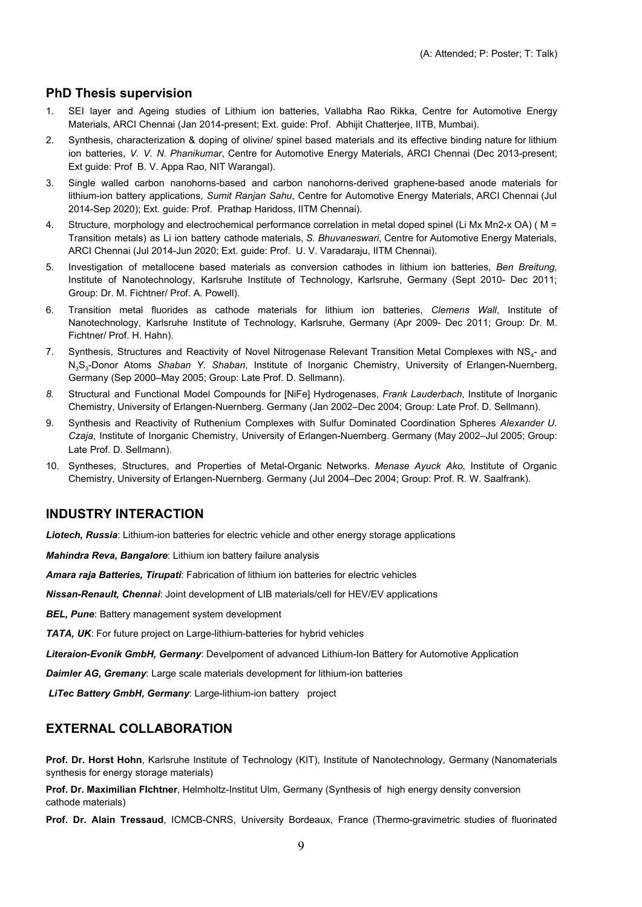#### **PhD Thesis supervision**

- 1. SEI layer and Ageing studies of Lithium ion batteries, Vallabha Rao Rikka, Centre for Automotive Energy Materials, ARCI Chennai (Jan 2014-present; Ext. guide: Prof. Abhijit Chatterjee, IITB, Mumbai).
- 2. Synthesis, characterization & doping of olivine/ spinel based materials and its effective binding nature for lithium ion batteries, *V. V. N. Phanikumar*, Centre for Automotive Energy Materials, ARCI Chennai (Dec 2013-present; Ext guide: Prof B. V. Appa Rao, NIT Warangal).
- 3. Single walled carbon nanohorns-based and carbon nanohorns-derived graphene-based anode materials for lithium-ion battery applications, *Sumit Ranjan Sahu*, Centre for Automotive Energy Materials, ARCI Chennai (Jul 2014-Sep 2020); Ext. guide: Prof. Prathap Haridoss, IITM Chennai).
- 4. Structure, morphology and electrochemical performance correlation in metal doped spinel (Li Mx Mn2-x OA) ( M = Transition metals) as Li ion battery cathode materials, *S. Bhuvaneswari*, Centre for Automotive Energy Materials, ARCI Chennai (Jul 2014-Jun 2020; Ext. guide: Prof. U. V. Varadaraju, IITM Chennai).
- 5. Investigation of metallocene based materials as conversion cathodes in lithium ion batteries, *Ben Breitung,* Institute of Nanotechnology, Karlsruhe Institute of Technology, Karlsruhe, Germany (Sept 2010- Dec 2011; Group: Dr. M. Fichtner/ Prof. A. Powell).
- 6. Transition metal fluorides as cathode materials for lithium ion batteries, *Clemens Wall*, Institute of Nanotechnology, Karlsruhe Institute of Technology, Karlsruhe, Germany (Apr 2009- Dec 2011; Group: Dr. M. Fichtner/ Prof. H. Hahn).
- 7. Synthesis, Structures and Reactivity of Novel Nitrogenase Relevant Transition Metal Complexes with NS<sub>4</sub>- and N<sub>3</sub>S<sub>3</sub>-Donor Atoms *Shaban Y. Shaban*, Institute of Inorganic Chemistry, University of Erlangen-Nuernberg, Germany (Sep 2000–May 2005; Group: Late Prof. D. Sellmann).
- *8.* Structural and Functional Model Compounds for [NiFe] Hydrogenases, *Frank Lauderbach*, Institute of Inorganic Chemistry, University of Erlangen-Nuernberg. Germany (Jan 2002–Dec 2004; Group: Late Prof. D. Sellmann).
- 9. Synthesis and Reactivity of Ruthenium Complexes with Sulfur Dominated Coordination Spheres *Alexander U. Czaja*, Institute of Inorganic Chemistry, University of Erlangen-Nuernberg. Germany (May 2002–Jul 2005; Group: Late Prof. D. Sellmann).
- 10. Syntheses, Structures, and Properties of Metal-Organic Networks. *Menase Ayuck Ako*, Institute of Organic Chemistry, University of Erlangen-Nuernberg. Germany (Jul 2004–Dec 2004; Group: Prof. R. W. Saalfrank).

### **INDUSTRY INTERACTION**

*Liotech, Russia*: Lithium-ion batteries for electric vehicle and other energy storage applications

*Mahindra Reva, Bangalore*: Lithium ion battery failure analysis

*Amara raja Batteries, Tirupati*: Fabrication of lithium ion batteries for electric vehicles

*Nissan-Renault, Chennai*: Joint development of LIB materials/cell for HEV/EV applications

*BEL, Pune*: Battery management system development

*TATA, UK*: For future project on Large-lithium-batteries for hybrid vehicles

*Literaion-Evonik GmbH, Germany*: Develpoment of advanced Lithium-Ion Battery for Automotive Application

*Daimler AG, Gremany*: Large scale materials development for lithium-ion batteries

*LiTec Battery GmbH, Germany*: Large-lithium-ion battery project

#### **EXTERNAL COLLABORATION**

**Prof. Dr. Horst Hohn**, Karlsruhe Institute of Technology (KIT), Institute of Nanotechnology, Germany (Nanomaterials synthesis for energy storage materials)

**Prof. Dr. Maximilian FIchtner**, Helmholtz-Institut Ulm, Germany (Synthesis of high energy density conversion cathode materials)

**Prof. Dr. Alain Tressaud**, ICMCB-CNRS, University Bordeaux, France (Thermo-gravimetric studies of fluorinated